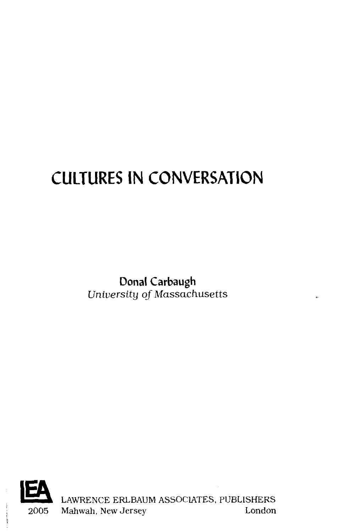# **CULTURES IN CONVERSATION**

**Donal Carbaugh**  University of Massachusetts



i

**LAWRENCE** ERLBAUM ASSOCIATES, PUBLISHERS 2005 Mahwah, **New** Jersey London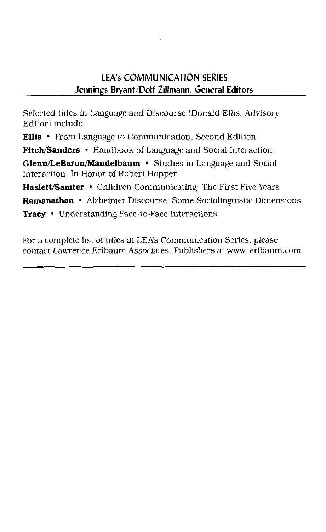## **LEA's COMMUNICATION SERIES**  Jennings Bryant/Dolf Zillmann, General Editors

Selected titles in Language and Discourse (Donald Ellis, Advisory Editor) include:

**Ellis** • From Language to Communication, Second Edition

Fitch/Sanders • Handbook of Language and Social Interaction

Glenn/LeBaron/Mandelbaum • Studies in Language and Social Interaction: In Honor of Robert Hopper

Haslett/Samter • Children Communicating: The First Five Years

Ramanathan • Alzheimer Discourse: Some Sociolinguistic Dimensions

Tracy • Understanding Face-to-Face Interactions

For a complete list of titles in LEA's Communication Series, please contact Lawrence Erlbaurn Associates, Publishers at www. erlbaum.com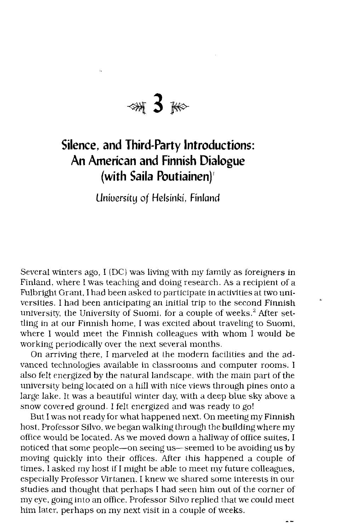※ 3 №

# **Silence, and Third-Party Introductions: An American and Finnish Dialogue (with Saila Poutiainen)'**

**Uniuersity** of **Helsinki, Finland** 

Several winters ago, I (DC) was living with my family as foreigners in Finland. where I was teaching and doing research. As a recipient of a Fulbright Grant, I had been asked to participate in activities at two universities. I had been anticipating an initial trip to the second Finnish university, the University of Suomi, for a couple of weeks.<sup>2</sup> After settling in at our Finnish horne, I was excited about traveling to Suomi, where I would meet the Finnish colleagues with whom I would be working periodically over the next several months.

On arriving there, I marveled at the modern facilities and the advanced technologies available in classrooms and computer rooms. I also felt energized by the natural landscape, with the main part of the university being located on a hill with nice views through pines onto a large lake. It was a beautiful winter day, with a deep blue sky above a snow covered ground. I felt energized and was ready to go!

But I was not ready for what happened next. On meeting my Finnish host, Professor Silvo, we began walking through the building where my office would be located. As we moved down a hallway of office suites, I noticed that some people—on seeing us—seemed to be avoiding us by moving quickly into their offices. After this happened a couple of times, I asked my host if I might be able to meet my future colleagues, especially Professor Virtanen. I knew we shared some interests in our studies and thought that perhaps I had seen hirn out of the corner of my eye, going into an office. Professor Silvo replied that we could meet him later, perhaps on rny next visit in a couple of weeks.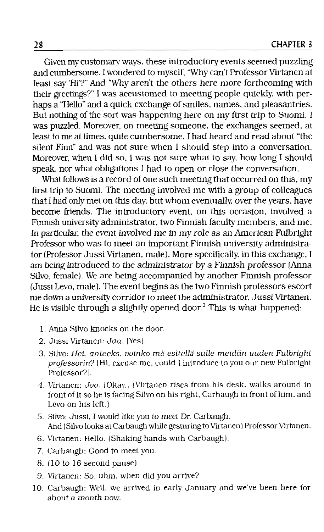Given my customary ways, these introductory events seemed puzzling and cumbersome. I wondered to myself, "Why can't Professor Virtanen at least say 'Hi'?" And "Why aren't the others here more forthcoming with their greetings?" I was accustomed to meeting people quickly. with perhaps a "Hello" and a quick exchange of smiles, names, and pleasantries. But nothing of the sort was happening here on my first trip to Suomi. 1 was puzzled. Moreover, on meeting someone, the exchanges seemed, at least to me at times. quite cumbersome. I had heard and read about "the silent Finn" and was not sure when I should step into a conversation. Moreover, when I did so, I was not sure what to say, how long I should speak, nor what obligations I had to open or close the conversation.

What follows is a record of one such meeting that occurred on this, my first trip to Suorni. The meeting involved me with a group of colleagues that I had only met on this day, but whom eventually over the years, have become friends. The introductory event, on this occasion, involved a Finnish university administrator, two Finnish faculty members, and me. In particular, the event involved me in my role as an American FWbright Professor who was to meet an important Finnish university administrator [Professor Jussi Virtanen, male). More specifically. in this exchange, I am being introduced to the admuzistrator by a Fhmish professor **[Anna**  Silvo, female). We are being accompanied by another Finnish professor (Jussi Levo, male). The event begins as the two Finnish professors escort me down a university corridor to meet the admmistrator, Jussi Virtanen. He is visible through a slightly opened door.<sup>3</sup> This is what happened:

- 1. Anna Silvo knocks on the door.
- 2. Jussi Virtanen: *Jaa.* [Yesl.
- 3. Silvo: *Hei, anteeks. voinko mä esitellä sulle meidän uuden Fulbright professorin?* [Hi, excuse me, could I introduce to you our new Rilbright Professor?].
- 4. Virtanen: *Joo.* [Okay.] (Virtanen rises from his desk, walks around in front of it so he is facing Silvo on his right. Carbaugh in front of him. and Levo on his left.)
- 5. Silvo: Jussi. I would like you to meet Dr. Carbaugh. And (Silvo looks at Carbaugh while gesturingto Virtanen) Professor Virtanen.
- 6. Virtanen: Hello. (Shaking hands with Carbaugh).
- 7. Carbaugh: Good to meet you.
- 8. ( 10 to 16 second pause)
- 9. Virtanen: So, uhm, when did you arrive?
- 10. Carbaugh: Well, we arrived in early January and we're been here for about *a* month now.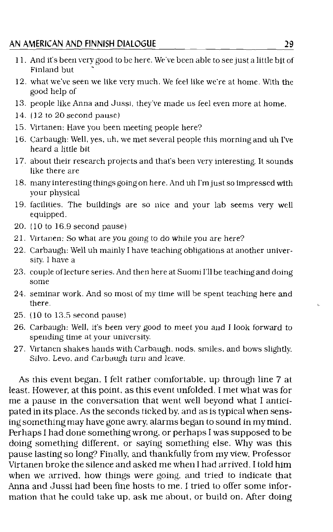#### **AN AMERICAN AND FINNISH DIALOGUE 29**

- 11. And it's been very good to be here. We've been able to see just a little bit of Finland but
- 12, what we've seen we like very much. We feel like we're at home. With the good help of
- 13. people like Anna and Jussi, they've made us feel even more at home.
- 14. ( 12 to 20 second pause)
- 15. Virtanen: Have you been meeting people here?
- 16. Carbaugh: Well, yes, uh, we met several people this morning and uh I've heard a little bit
- 17. about their research projects and that's been very interesting. It sounds like there are
- 18. many interesting things going on here. And uh I'm just so impressed with your physical
- 19. facilities. The buildings are so nice and your lab seems very well equipped.
- 20. ( 10 to 16.9 second pause)
- 2 1. Virtanen: So what are you going to do while you are here?
- 22. Carbaugh: Well uh mainly I have teaching obligations at another university. I have a
- 23. couple of lecture series. And then here at Suomi I'll be teaching and doing some
- 24. seminar work. And so most of my time will be spent teaching here and there.
- 25. (10 to 13.5 second pause)
- 26. Carbaugh: Well, it's been very good to meet you and I look forward to spending time at your university.
- 27. Virtanen shakes hands with Carbaugh. nods, smiles, and bows slightly. Silvo. Levo, and Carbaugh turn and Icave.

As this event began. I felt rather comfortable. up through line 7 at least. However, at this point, as this event unfolded. I met what was for me a pause in the conversation that went well beyond what I anticipated in its place. As the seconds ticked by, and as is typical when sensing something may have gone awry. alarms began to sound in my mind. Perhaps I had done something wrong. or perhaps I was supposed to be doing something different, or saying something else. Why was this pause lasting so long? Finally, and thankfully from my view, Professor .<br>Virtanen broke the silence and asked me when I had arrived. I told him when we arrived, how things were going, and tried to indicate that Anna and Jussi had been fine hosts to me. I tried to offer some information that he could take up. ask me about, or build on. After doing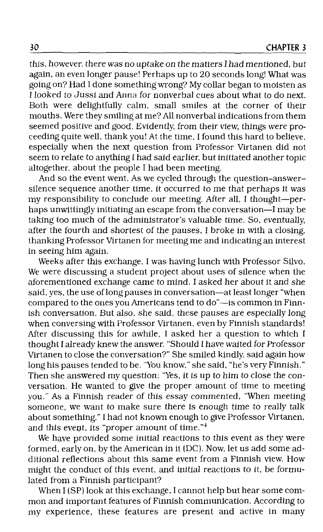this. however, there was no uptake on the matters I had mentioned, but again, an even longer pause! Perhaps up to 20 seconds long! What was going on? Had I done something wrong? My collar began to moisten as I looked to Jussi and Anna for nonverbal cues about what to do next. Both were delightfully calm, small smiles at the corner of their mouths. Were they smiling at me? All nonverbal indications from them seemed positive and good. Evidently, from their view, things were proceeding quite well, thank you! At the time, I found this hard to believe. especially when the next question from Professor Virtanen did not seem to relate to anything I had said earlier, but initiated another topic altogether. about the people I had been meeting.

And so the event went. As we cycled through the question-answersilence sequence another time. it occurred to me that perhaps it was my responsibility to conclude our meeting. After all, I thought-perhaps unwittingly initiating an escape from the conversation—I may be taking too much of the administrator's valuable time. So, eventually, after the fourth and shortest of the pauses, I broke in with a closing, thanking Professor Virtanen for meeting me and indicating an interest in seeing him again.

Weeks after this exchange, I was having lunch with Professor Silvo. We were discussing a student project about uses of silence when the aforementioned exchange came to mind. I asked her about it and she said, yes, the use of long pauses in conversation—at least longer "when compared to the ones you Americans tend to do"-is common in Finnish conversation. But also. she said, these pauses are especially long when conversing with Professor Virtanen, even by Finnish standards! After discussing this for awhile, I asked her a question to which I thought I already knew the answer. "Should I have waited for Professor Virtanen to close the conversation?" She smiled kindly, said again how long his pauses tended to be. "You know," she said, "he's very Finnish." Then she answered my question: "Yes, it is up to him to close the conversation. He wanted to give the proper amount of time to meeting you." As a Finnish reader of this essay commented, "When meeting someone, we want to make sure there is enough time to really talk about something." I had not known enough to give Professor Virtanen, and this event, its "proper amount of time."'

We have provided some initial reactions to this event as they were formed, early on, by the American in it (DC). Now, let us add some additional reflections about this same event from a Finnish view. How might the conduct of this event, and initial reactions to it, be formulated from a Finnish participant?

When I (SP) look at this exchange, I cannot help but hear some common and important features of Finnish communication. According to my experience, these features are present and active in many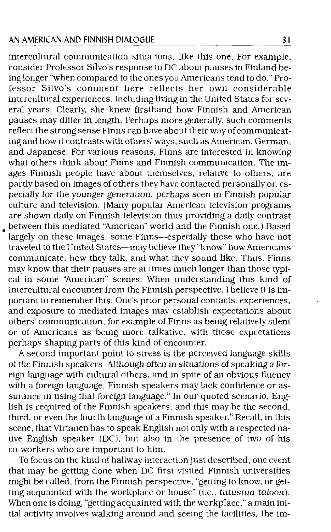intercultural communication situations, like this one. For example. consider Professor Silvo's response to DC about pauses in Finland being longer "when compared to the ones you Americans tend to do." Professor Silvo's comment here reflects her own considerable intercultural experiences, including living in the United States for several years. Clearly, she knew firsthand how Finnish and American pauses may differ in length. Perhaps more generally, such comments reflect the strong sense Finns can have about their way of communicating and how it contrasts with others' ways, such as Anierican, German, and Japanese. For various reasons, Finns are interested in knowing what others think about Finns and Finnish communication. The images Finnish people have about themselves, relative to others, are partly based on images of others they have contacted personally or, especially for the younger generation. perhaps seen in Finnish popular culture and television. (Many popular American television programs are shown daily on Finnish television thus providing a daily contrast between this mediated "American" world and the Finnish one.) Based largely on these images, some Finns-especially those who have not traveled to the United States-may believe they "know" how Americans communicate, how they talk, and what they sound like. Thus, Finns may know that their pauses are at times much longer than those typical in some "American" scenes. When understanding this kind of inlercultural encounter from the Finnish perspective. I believe it is important to remember this: One's prior personal contacts. experiences, and exposure to mediated images may establish expectations about others' communication, for example of Finns as being relatively silent or of Americals as being more talkative. with those expectations perhaps shaping parts of this kind of encounter.

A second important point to stress is the perceived language skills of the Finnish speakers. Although often in situations of speaking a foreign language with cultural others, and in spite of an obvious fluency with a foreign language. Finnish speakers may lack confidence or assurance in using that foreign language. $^5$  In our quoted scenario, English is required of the Finnish speakers, and this may be the second, third, or even the fourth language of a Finnish speaker. $6$  Recall, in this scene, that Virtanen has to speak English nol only with a respected native English speaker (DC), but also in the presence of two of his co-workers who are important to him.

To focus on the kind of hallway interaction just described, one event that may be getting done when DC first visited Finnish universities might be called, from the Finnish perspective. "getting to know, or getting acquainted with the workplace or house" (i.e.. *tutustua taloon).*  When one is doing, "getting acquainted with the workplace," a main initial activity involves walking around and seeing the facilities, the im-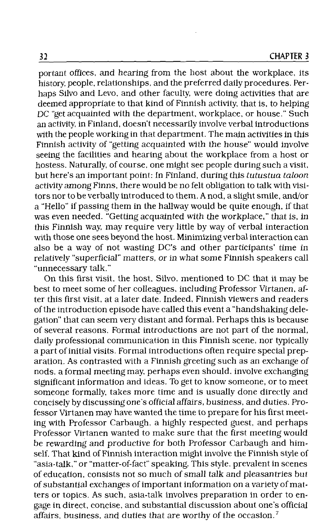portant offices, and hearing from the host about the workplace, its history, people, relationships, and the preferred daily procedures. Perhaps Silvo and Levo, and other faculty, were doing activities that are deemed appropriate to that kind of Finnish activity, that is, to helping *DC* "get acquainted with the department, workplace, or house." Such an activity, in Finland, doesn't necessarily involve verbal introductions with the people working in that department. The main activities in this Finnish aclivity of "getting acquainted with the house" would involve seeing the facilities and hearing about the workplace from a host or hostess. Naturally, of course, one might see people during such a visit, but here's an important point: In Finland, during this *tutustua taloon*  activity among Finns, there would be no felt obligation to talk with visitors nor to be verbally introduced to them. Anod, a slight smile, and/or a "Hello" if passing them in the hallway would be quite enough, if that was even needed. "Getting acquainted with the workplace," that is, in this Finnish way, may require very little by way of verbal interaction with those one sees beyond the host. Minimizing verbal interaction can also be a way of not wasting DC's and other participants' time in relatively "superficial" matters, or in what some Finnish speakers call "unnecessary talk."

On this first visit, the host. Silvo, mentioned to DC that it may be best to meet some of her colleagues, including Professor Virtanen, after this first visit, at a later date. Indeed, Finnish viewers and readers of the introduction episode have called this event a "handshaking delegation" that can seem very distant and formal. Perhaps this is because of several reasons. Formal introductions are not part of the normal, daily professional communication in this Finnish scene, nor typically a part of initial visits. Formal introductions often require special preparation. As contrasted with a Finnish greeting such as an exchange of nods, a formal meeting may. perhaps even should. involve exchanging significant information and ideas. To get to know someone, or to meet someone formally, takes more time and is usually done directly and concisely by discussing one's official affairs, business, and duties. Professor Virtanen may have wanted the time to prepare for his first meeting with Professor Carbaugh, a highly respected guest, and perhaps Professor Virtanen wanted to make sure that the first meeting would be rewarding and productive for both Professor Carbaugh and himself. That kind of Finnish interaction might involve the Finnish style of "asia-talk," or "matter-of-fact" speaking. This style. prevalent in scenes of education, consists not so much of small talk and pleasantries but of substantial exchanges of important information on a variety of matters or topics. As such, asia-talk involves preparation in order to engage in direct, concise, and substantial discussion about one's official affairs, business, and duties that are worthy of the occasion.<sup>7</sup>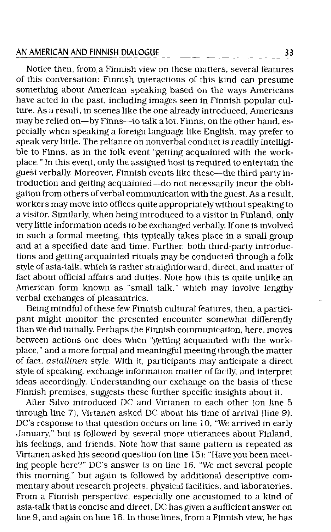#### **AN AMERICAN AND FINNISH DIALOGUE 3 3**

Notice then, from a Finnish view on these niatters, several features of this conversation: Finnish interactions of this kind can presume something about American speaking based on the ways Americans have acted in the past, including images seen in Finnish popular culture. As a result, in scenes like the one already introduced, Americans may be relied on-by Finns-to talk a lot. Finns, on the other hand, especially when speaking a foreign language like English, may prefer to speak very little. The reliance on nonverbal conduct is readily intelligible to Finns, as in the folk event "getting acquainted with the workplace." In this event. only the assigned host is required to entertain the guest verbally. Moreover, Finnish events like these-the third party introduction and getting acquainted—do not necessarily incur the obligation from others of verbal communication with the guest. As a result, workers may move into offices quite appropriately without speaking to a visitor. Similarly, when being introduced to a visitor in Finland, only very little information needs to be exchanged verbally, If one is involved in such a formal meeting. this typically takes place in a small group and at a specified date and time. Further, both third-party introductions and getting acquainted rituals may be conducted through a folk style of asia-talk, which is rather straightforward, direct, and matter of fact about official affairs and duties. Note how this is quite unlike an American form known as "small talk." which may involve lengthy verbal exchanges of pleasantries.

Being mindful of these few Finnish cultural features, then, a participant might monitor the presented encounter somewhat differently than we did initially. Perhaps the Finnish communication, here, moves between actions one does when "getting acquainted with the workplace," and a more formal and meaningful meeting through the matter of fact, *asiallinen* style. With it, participants may anticipate a direct style of speaking, exchange information matter of factly, and interpret ideas accordingly. Understanding our exchange on the basis of these Finnish premises. suggests these further specific insights about it.

After Silvo introduced DC and Virtanen to each other (on line 5 through line 7), Virtanen asked DC about his time of arrival (line 9). DC's response to that question occurs on line 10, "We arrived in early January," but is followed by several more utterances about Finland, his feelings, and friends. Note how that same pattern is repeated as Virtanen asked his second question (on line 15): "Have you been meeting people here?" DC's answer is on line 16. "We met several people this morning," but again is followed by additional descriptive commentary about research projects, physical facilities, and laboratories. From a Finnish perspective, especially one accustomed to a kind of asia-talk that is concise and direct, DC has given a sufficient answer on line 9, and again on line 16. In those lines, from a Finnish view, he has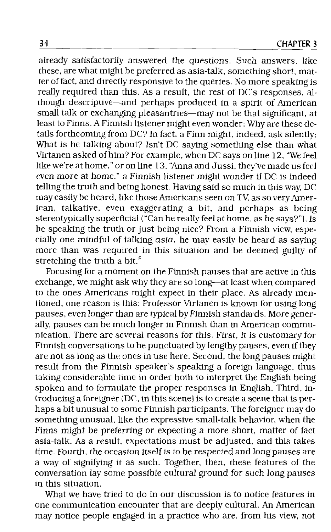already satisfactorily answered the questions. Such answers. like these, are what might be preferred as asia-talk, something short. matter of fact, and directly responsive to the queries. No more speaking is really required than this. As a result, the rest of DC's responses, although descriptive-and perhaps produced in a spirit of American small talk or exchanging pleasantries—may not be that significant, at least to Finns. A Finnish listener might even wonder: Why are these details forthcoming from DC? In fact, a Finn might. indeed. ask silently: What is he talking about? Isn't DC saying something else than what Virtanen asked of him? For example, when DC says on line 12, "We feel like we're at home," or on line 13, "Anna and Jussi, they've made us feel even more at home," a Finnish listener might wonder if DC is indeed telling the truth and being honest. Having said so much in this way, DC rnay easily be heard, like those Americans seen on TV, as so very American. talkative, even exaggerating a bit, and perhaps as being stereotypically superficial ("Can he really feel at home. as he says?"). Is he speaking the truth or just being nice? From a Finnish view, especially one mindful of talking  $\alpha$ sia, he may easily be heard as saying more than was required in this situation and be deemed guilty of stretching the truth a bit.<sup>8</sup>

Focusing for a moment on the Finnish pauses that are active in this exchange, we might ask why they are so long-at least when compared to the ones Americans might expect in their place. As already mentioned, one reason is this: Professor Virtanen is known for using long pauses, even longer than *are* typical by Finnish standards. More generally, pauses can be much longer in Finnish than in American communication. There are several reasons for this. First. it is customary for Finnish conversations to be punctuated by lengthy pauses, even if they are not as long as the ones in use here. Second, the long pauses might result from the Finnish speaker's speaking a foreign language, thus taking considerable time in order both to interpret the English being spoken and to formulate the proper responses in English. Third, introducing a foreigner (DC, in this scene) is to create a scene that is perhaps a bit unusual to some Finnish participants. The foreigner may do something unusual. like the expressive small-talk behavior, when the Finns might be preferring or expecting a more short, matter of fact asia-talk. As a result, expectations must be adjusted, and this takes time. Fourth, the occasion itself is to be respected and long pauses are a way of signifying it as such. Together, then, these features of the conversation lay some possible cultural ground for such long pauses in this situation.

What we have tried to do in our discussion is to notice features in one communication encounter that are deeply cultural. An American may notice people engaged in a practice who are, from his view, not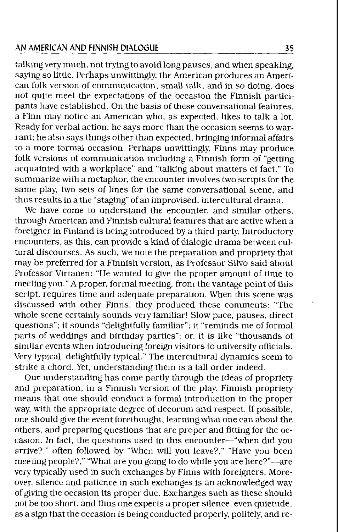#### **AN AMERICAN AND FINNISH DIALOGUE 3 5**

talking very much, not trying to avoid long pauses, and when speaking, saying so little. Perhaps unwittingly, the American produces an American folk version of communication, small talk, and in so doing, does not quite meet the expectations of the occasion the Finnish participants have established. On the basis of these conversational features, a Finn may notice an American who, as expected, likes to talk a lot. Ready for verbal action. he says more than the occasion seems to **war**rant; he also says things other than expected, bringing informal affairs to a more formal occasion. Perhaps unwittingly. Finns may produce folk versions of communication including a Finnish form of "getting" acquainted with a workplace" and "talking about matters of fact." To summarize with a metaphor, the encounter involves two scripts for the same play, two sets of lines for the same conversational scene, and thus results in a the "staging" of an improvised, intercultural drama.

We have come to understand the encounter, and similar others. through American and Finnish cultural features that are active when a foreigner in Finland is being introduced by a third party. Introductory encounters, as this, can provide a kind of dialogic drama between cultural discourses. As such, we note the preparation and propriety that may be preferred for a Finnish version, as Professor Silvo said about Professor Virtanen: "He wanted to give the proper amount of time to meeting you." A proper, formal meeting, from the vantage point of this script, requires time and adequate preparation. When this scene was discussed with other Finns, they produced these comments: "The whole scene ccrtainly sounds very familiar! Slow pace, pauses, direct questions"; it sounds "delightfully familiar"; it "reminds me of formal parts of weddings and birthday parties"; or, it is like "thousands of similar events when introducing foreign visitors to university officials. Very typical, delightfully typical." The intercultural dynamics seem to strike a chord. Yet, understanding them is a tall order indeed.

Our understanding has come partly through the ideas of propriety and preparation, in a Finnish version of the play. Finnish propriety means that one should conduct a formal introduction in the proper way, with the appropriate degree of decorum and respect. If possible, one should give the event forethought, learningwhat one can about the others, and preparing questions that are proper aid fitting for the occasion. In fact, the questions used in this encounter-"when did you arrive?," often followed by "When will you leave?," "Have you been meeting people?," "What are you going to do while you are here?"--are very typically used in such exchanges by Finns with foreigners. Moreover, silence and patience in such exchanges is an acknowledged way of giving the occasion its proper due. Exchanges such as these should not be too short, and thus one expects a proper silence, even quietude, as a sign that the occasion is being conducted properly, politely, and re-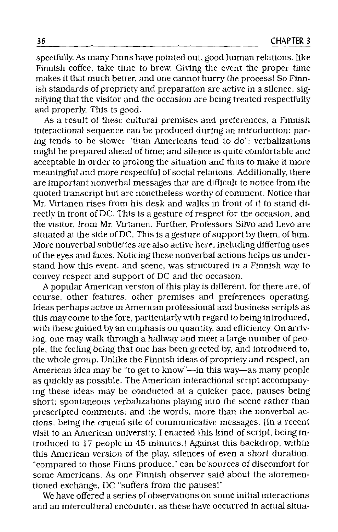spectfully. As many Finns have pointed out, good human relations, like Finnish coffee, take time to brew. Giving the event the proper time makes it that much better, and one cannot hurry the process! So Finnish standards of propriety and preparation are active in a silence, signifying that the visitor and the occasion are being treated respectfully and properly. This is good.

As a result of these cultural premises and preferences, a Finnish interactional sequence can be produced during an introduction: pacing tends to be slower "than Americans tend to do": verbalizations might be prepared ahead of time; and silence is quite comfortable and acceptable in order to prolong the situation and thus to make it more meaningful and more respectful of social relations. Additionally, there are important nonverbal messages that are difficult to notice from the quoted transcript but are nonetheless worthy of comment. Notice that Mr. Virtanen rises from his desk and walks in front of it to stand directly in front of DC. This is a gesture of respect for the occasion, and the visitor, from Mr. Virtanen. Further. Professors Silvo and Levo are situated at the side of DC. This is a gesture of support by them. of him. More nonverbal subtleties are also active here, including differing uses of the eyes and faces. Noticing these nonverbal actions helps us understand how this event. and scene, was structured in a Finnish way to corivey respect and support of DC and the occasion.

A popular American version of this play is different, for there are, of course, other features, other premises and preferences operating. Ideas perhaps active in American professional and business scripts as this may come to the fore. particularly with regard to being introduced, with these guided by an emphasis on quantity, and efficiency. On arriving, one may walk through a hallway and meet a large number of people, the feeling being that one has been greeted by, and introduced to, the whole group. Unlike the Finnish ideas of propriety and respect, an American idea may be "to get to know"—in this way—as many people as quickly as possible. The American interactional script accompanying these ideas may be conducted at a quicker pace, pauses being short; spontaneous verbalizations playing into the scene rather than prescripted comments; and the words, more than the nonverbal actions, being the crucial site of communicative messages. (In a recent visit to an American university, I enacted this kind of script, being introduced to 17 people in 45 minutes.) Against this backdrop, within this American version of the play, silences of even a short duration, "compared to those Finns produce," can be sources of discomfort for some Americans. **As** one Finnish observer said about the aforementioned exchange, DC "suffers from the pauses!"

We have offered a series of observations on some initial interactions and an intercultural encounter, as these have occurred in actual situa-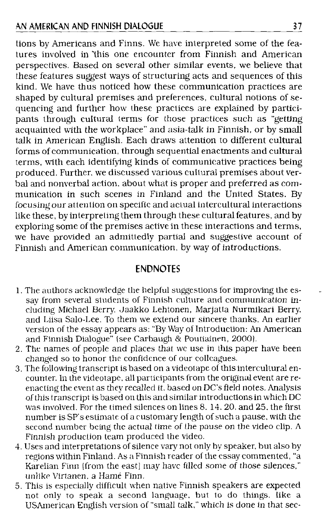tions by Americans and Finns. We have interpreted some of the features involved in Yhis one encounter from Finnish and American perspectives. Based on several other similar events, we believe that these features suggest ways of structuring acts and sequences of this kind. We have thus noticed how these communication practices are shaped by cultural premises and preferences, cultural notions of sequencing and further how these practices are explained by participants through cultural terms for those practices such as "getting acquainted with the workplace'' and asia-talk in Finnish, or by small talk in American English. Each draws attention to different cultural forms of communication, through sequential enactments and cultural terms, with each identifying kinds of communicative practices being produced. Further, we discussed various cultural premises about verbal and nonverbal action. about what is proper and preferred as communication in such scenes in Finland and the United States. By focusing our attention on specific and actual intercultural interactions like these, by interpreting them through these cultural features. and by exploring some of the premises active in these interactions and terms, we have provided an admittedly partial and suggestive account of Finnish and American communication, by way of introductions.

### **ENDNOTES**

- 1. The authors acknowledge the helpful suggestions for improving the es-  $\qquad$  . say from several students of Finnish culture and communication including Michael Berry. Jaakko Lehtonen, Marjatta Nurmikari Berry, and Liisa Salo-Lee. To them we extend our sincere thanks. An earlier version of the essay appears as: "By Way of Introduction: An American and Finnish Dialogue" (ser Carbaligh & Poutiainrn, 2000).
- 2. The names of people and places that wc use in this paper have been changed so to honor the confidence of our colleagues.
- 3. The following transcript is based on a videotape of this intercultural encounter. In the videotape. all participants from the original event are reenacting the event as they recalled it. based on DC's field notes. Analysis of this transcript is based on this and similar introductions in which DC was involved. For the timed silences on lines 8, 14, 20, and 25, the first number is SP's estimate of a customary length of such a pause. with the second number being the actual time of the pause on the video clip. A Finnish production team produced the video.
- 4. Uses and interpretations of silence vary not only by speaker, but also by regions within Finland. As a Finnish reader of the essay commented, "a Karelian Finn [from the east] may have filled some of those silences," unlike Virtanen, a Hamé Finn.
- 5. This is especially difficult when native Finnish speakers are expected not only to speak a second language, but to do things, like a USArnerican English version of "small talk," which is done in that sec-